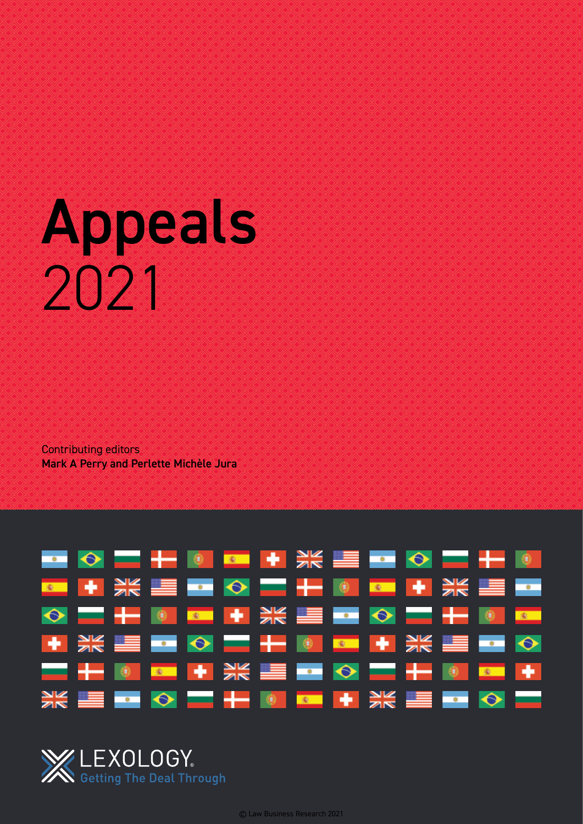# Appeals 2021

Contributing editors Mark A Perry and Perlette Michèle Jura



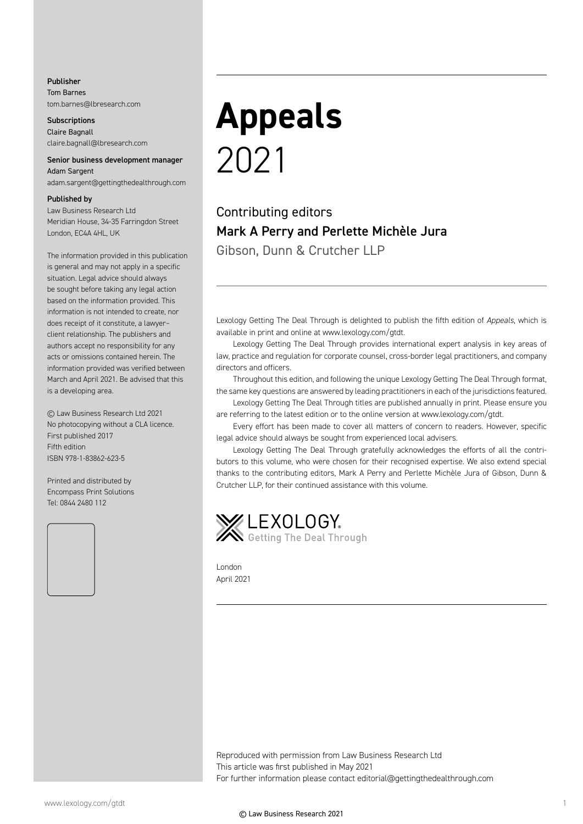#### Publisher Tom Barnes tom.barnes@lbresearch.com

**Subscriptions** Claire Bagnall claire.bagnall@lbresearch.com

#### Senior business development manager Adam Sargent

adam.sargent@gettingthedealthrough.com

#### Published by

Law Business Research Ltd Meridian House, 34-35 Farringdon Street London, EC4A 4HL, UK

The information provided in this publication is general and may not apply in a specific situation. Legal advice should always be sought before taking any legal action based on the information provided. This information is not intended to create, nor does receipt of it constitute, a lawyer– client relationship. The publishers and authors accept no responsibility for any acts or omissions contained herein. The information provided was verified between March and April 2021. Be advised that this is a developing area.

© Law Business Research Ltd 2021 No photocopying without a CLA licence. First published 2017 Fifth edition ISBN 978-1-83862-623-5

Printed and distributed by Encompass Print Solutions Tel: 0844 2480 112



## **Appeals** 2021

Contributing editors Mark A Perry and Perlette Michèle Jura Gibson, Dunn & Crutcher LLP

Lexology Getting The Deal Through is delighted to publish the fifth edition of *Appeals*, which is available in print and online at www.lexology.com/gtdt.

Lexology Getting The Deal Through provides international expert analysis in key areas of law, practice and regulation for corporate counsel, cross-border legal practitioners, and company directors and officers.

Throughout this edition, and following the unique Lexology Getting The Deal Through format, the same key questions are answered by leading practitioners in each of the jurisdictions featured.

Lexology Getting The Deal Through titles are published annually in print. Please ensure you are referring to the latest edition or to the online version at www.lexology.com/gtdt.

Every effort has been made to cover all matters of concern to readers. However, specific legal advice should always be sought from experienced local advisers.

Lexology Getting The Deal Through gratefully acknowledges the efforts of all the contributors to this volume, who were chosen for their recognised expertise. We also extend special thanks to the contributing editors, Mark A Perry and Perlette Michèle Jura of Gibson, Dunn & Crutcher LLP, for their continued assistance with this volume.



London April 2021

Reproduced with permission from Law Business Research Ltd This article was first published in May 2021 For further information please contact editorial@gettingthedealthrough.com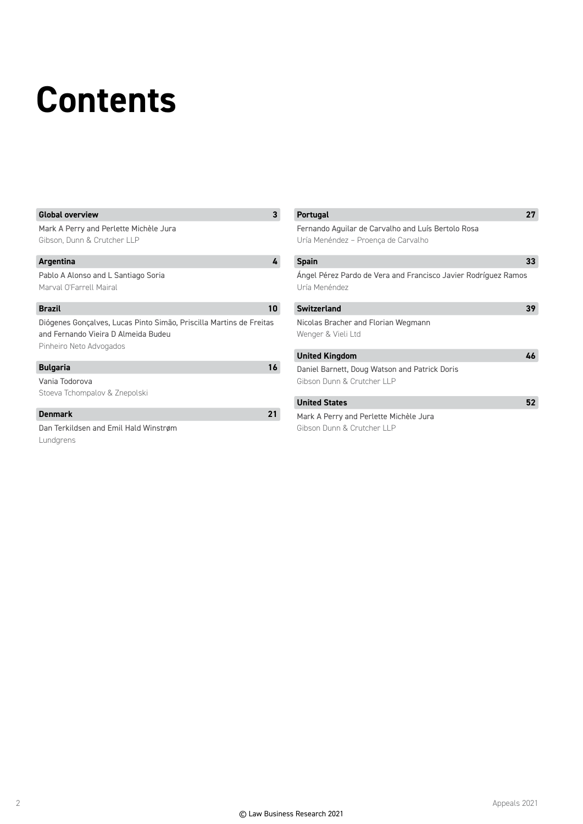### **Contents**

#### **Global overview 3**

Mark A Perry and Perlette Michèle Jura Gibson, Dunn & Crutcher LLP

#### **Argentina 4**

Pablo A Alonso and L Santiago Soria Marval O'Farrell Mairal

#### **Brazil 10**

Diógenes Gonçalves, Lucas Pinto Simão, Priscilla Martins de Freitas and Fernando Vieira D Almeida Budeu Pinheiro Neto Advogados

#### **Bulgaria 16**

Vania Todorova Stoeva Tchompalov & Znepolski

#### **Denmark 21**

Dan Terkildsen and Emil Hald Winstrøm Lundgrens

| <b>Portugal</b>                                                                           | 77 |
|-------------------------------------------------------------------------------------------|----|
| Fernando Aquilar de Carvalho and Luís Bertolo Rosa<br>Uría Menéndez - Proença de Carvalho |    |
| <b>Spain</b>                                                                              | 33 |
| Angel Pérez Pardo de Vera and Francisco Javier Rodríguez Ramos<br>Uría Menéndez           |    |
| <b>Switzerland</b>                                                                        | 39 |
| Nicolas Bracher and Florian Wegmann<br>Wenger & Vieli Ltd                                 |    |
| <b>United Kingdom</b>                                                                     | 46 |
| Daniel Barnett, Doug Watson and Patrick Doris<br>Gibson Dunn & Crutcher LLP               |    |
| <b>United States</b>                                                                      | 52 |
| Mark A Perry and Perlette Michèle Jura                                                    |    |

Gibson Dunn & Crutcher LLP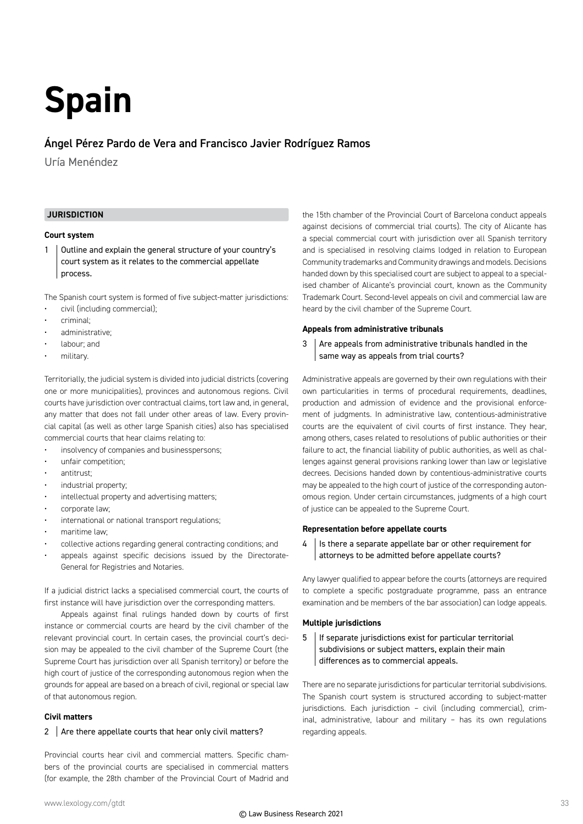## **Spain**

#### Ángel Pérez Pardo de Vera and Francisco Javier Rodríguez Ramos

Uría Menéndez

#### **JURISDICTION**

#### **Court system**

1 | Outline and explain the general structure of your country's court system as it relates to the commercial appellate process.

The Spanish court system is formed of five subject-matter jurisdictions:

- civil (including commercial);
- criminal;
- administrative;
- labour; and
- military.

Territorially, the judicial system is divided into judicial districts (covering one or more municipalities), provinces and autonomous regions. Civil courts have jurisdiction over contractual claims, tort law and, in general, any matter that does not fall under other areas of law. Every provincial capital (as well as other large Spanish cities) also has specialised commercial courts that hear claims relating to:

- insolvency of companies and businesspersons;
- unfair competition;
- antitrust;
- industrial property;
- intellectual property and advertising matters;
- corporate law;
- international or national transport regulations;
- maritime law;
- collective actions regarding general contracting conditions; and
- appeals against specific decisions issued by the Directorate-General for Registries and Notaries.

If a judicial district lacks a specialised commercial court, the courts of first instance will have jurisdiction over the corresponding matters.

Appeals against final rulings handed down by courts of first instance or commercial courts are heard by the civil chamber of the relevant provincial court. In certain cases, the provincial court's decision may be appealed to the civil chamber of the Supreme Court (the Supreme Court has jurisdiction over all Spanish territory) or before the high court of justice of the corresponding autonomous region when the grounds for appeal are based on a breach of civil, regional or special law of that autonomous region.

#### **Civil matters**

#### 2  $\vert$  Are there appellate courts that hear only civil matters?

Provincial courts hear civil and commercial matters. Specific chambers of the provincial courts are specialised in commercial matters (for example, the 28th chamber of the Provincial Court of Madrid and the 15th chamber of the Provincial Court of Barcelona conduct appeals against decisions of commercial trial courts). The city of Alicante has a special commercial court with jurisdiction over all Spanish territory and is specialised in resolving claims lodged in relation to European Community trademarks and Community drawings and models. Decisions handed down by this specialised court are subject to appeal to a specialised chamber of Alicante's provincial court, known as the Community Trademark Court. Second-level appeals on civil and commercial law are heard by the civil chamber of the Supreme Court.

#### **Appeals from administrative tribunals**

 $3$  Are appeals from administrative tribunals handled in the same way as appeals from trial courts?

Administrative appeals are governed by their own regulations with their own particularities in terms of procedural requirements, deadlines, production and admission of evidence and the provisional enforcement of judgments. In administrative law, contentious-administrative courts are the equivalent of civil courts of first instance. They hear, among others, cases related to resolutions of public authorities or their failure to act, the financial liability of public authorities, as well as challenges against general provisions ranking lower than law or legislative decrees. Decisions handed down by contentious-administrative courts may be appealed to the high court of justice of the corresponding autonomous region. Under certain circumstances, judgments of a high court of justice can be appealed to the Supreme Court.

#### **Representation before appellate courts**

 $4$  | Is there a separate appellate bar or other requirement for attorneys to be admitted before appellate courts?

Any lawyer qualified to appear before the courts (attorneys are required to complete a specific postgraduate programme, pass an entrance examination and be members of the bar association) can lodge appeals.

#### **Multiple jurisdictions**

 $5$  | If separate jurisdictions exist for particular territorial subdivisions or subject matters, explain their main differences as to commercial appeals.

There are no separate jurisdictions for particular territorial subdivisions. The Spanish court system is structured according to subject-matter jurisdictions. Each jurisdiction – civil (including commercial), criminal, administrative, labour and military – has its own regulations regarding appeals.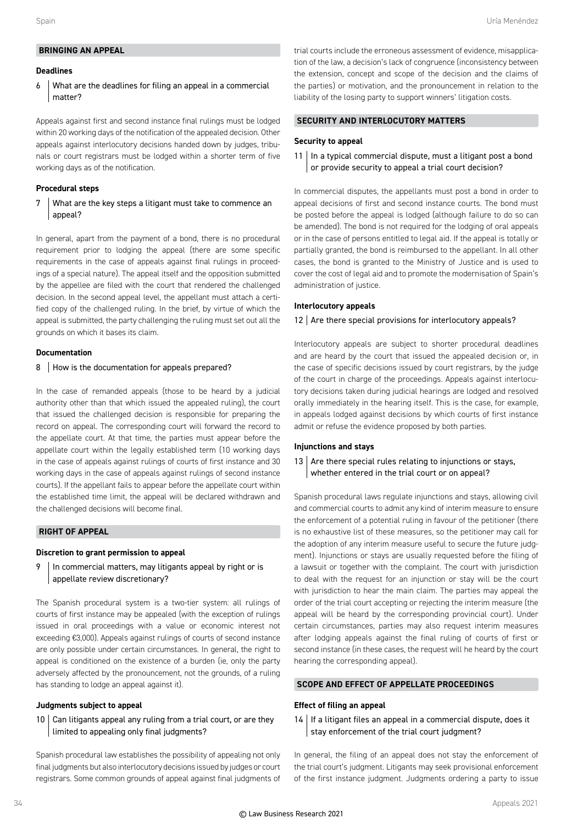#### **BRINGING AN APPEAL**

#### **Deadlines**

#### 6 What are the deadlines for filing an appeal in a commercial matter?

Appeals against first and second instance final rulings must be lodged within 20 working days of the notification of the appealed decision. Other appeals against interlocutory decisions handed down by judges, tribunals or court registrars must be lodged within a shorter term of five working days as of the notification.

#### **Procedural steps**

#### $7$  What are the key steps a litigant must take to commence an appeal?

In general, apart from the payment of a bond, there is no procedural requirement prior to lodging the appeal (there are some specific requirements in the case of appeals against final rulings in proceedings of a special nature). The appeal itself and the opposition submitted by the appellee are filed with the court that rendered the challenged decision. In the second appeal level, the appellant must attach a certified copy of the challenged ruling. In the brief, by virtue of which the appeal is submitted, the party challenging the ruling must set out all the grounds on which it bases its claim.

#### **Documentation**

#### 8 | How is the documentation for appeals prepared?

In the case of remanded appeals (those to be heard by a judicial authority other than that which issued the appealed ruling), the court that issued the challenged decision is responsible for preparing the record on appeal. The corresponding court will forward the record to the appellate court. At that time, the parties must appear before the appellate court within the legally established term (10 working days in the case of appeals against rulings of courts of first instance and 30 working days in the case of appeals against rulings of second instance courts). If the appellant fails to appear before the appellate court within the established time limit, the appeal will be declared withdrawn and the challenged decisions will become final.

#### **RIGHT OF APPEAL**

#### **Discretion to grant permission to appeal**

#### 9 | In commercial matters, may litigants appeal by right or is appellate review discretionary?

The Spanish procedural system is a two-tier system: all rulings of courts of first instance may be appealed (with the exception of rulings issued in oral proceedings with a value or economic interest not exceeding €3,000). Appeals against rulings of courts of second instance are only possible under certain circumstances. In general, the right to appeal is conditioned on the existence of a burden (ie, only the party adversely affected by the pronouncement, not the grounds, of a ruling has standing to lodge an appeal against it).

#### **Judgments subject to appeal**

#### $10$  Can litigants appeal any ruling from a trial court, or are they limited to appealing only final judgments?

Spanish procedural law establishes the possibility of appealing not only final judgments but also interlocutory decisions issued by judges or court registrars. Some common grounds of appeal against final judgments of

trial courts include the erroneous assessment of evidence, misapplication of the law, a decision's lack of congruence (inconsistency between the extension, concept and scope of the decision and the claims of the parties) or motivation, and the pronouncement in relation to the liability of the losing party to support winners' litigation costs.

#### **SECURITY AND INTERLOCUTORY MATTERS**

#### **Security to appeal**

 $11$  In a typical commercial dispute, must a litigant post a bond or provide security to appeal a trial court decision?

In commercial disputes, the appellants must post a bond in order to appeal decisions of first and second instance courts. The bond must be posted before the appeal is lodged (although failure to do so can be amended). The bond is not required for the lodging of oral appeals or in the case of persons entitled to legal aid. If the appeal is totally or partially granted, the bond is reimbursed to the appellant. In all other cases, the bond is granted to the Ministry of Justice and is used to cover the cost of legal aid and to promote the modernisation of Spain's administration of justice.

#### **Interlocutory appeals**

#### $12$  Are there special provisions for interlocutory appeals?

Interlocutory appeals are subject to shorter procedural deadlines and are heard by the court that issued the appealed decision or, in the case of specific decisions issued by court registrars, by the judge of the court in charge of the proceedings. Appeals against interlocutory decisions taken during judicial hearings are lodged and resolved orally immediately in the hearing itself. This is the case, for example, in appeals lodged against decisions by which courts of first instance admit or refuse the evidence proposed by both parties.

#### **Injunctions and stays**

#### 13 Are there special rules relating to injunctions or stays, whether entered in the trial court or on appeal?

Spanish procedural laws regulate injunctions and stays, allowing civil and commercial courts to admit any kind of interim measure to ensure the enforcement of a potential ruling in favour of the petitioner (there is no exhaustive list of these measures, so the petitioner may call for the adoption of any interim measure useful to secure the future judgment). Injunctions or stays are usually requested before the filing of a lawsuit or together with the complaint. The court with jurisdiction to deal with the request for an injunction or stay will be the court with jurisdiction to hear the main claim. The parties may appeal the order of the trial court accepting or rejecting the interim measure (the appeal will be heard by the corresponding provincial court). Under certain circumstances, parties may also request interim measures after lodging appeals against the final ruling of courts of first or second instance (in these cases, the request will he heard by the court hearing the corresponding appeal).

#### **SCOPE AND EFFECT OF APPELLATE PROCEEDINGS**

#### **Effect of filing an appeal**

 $14$  If a litigant files an appeal in a commercial dispute, does it stay enforcement of the trial court judgment?

In general, the filing of an appeal does not stay the enforcement of the trial court's judgment. Litigants may seek provisional enforcement of the first instance judgment. Judgments ordering a party to issue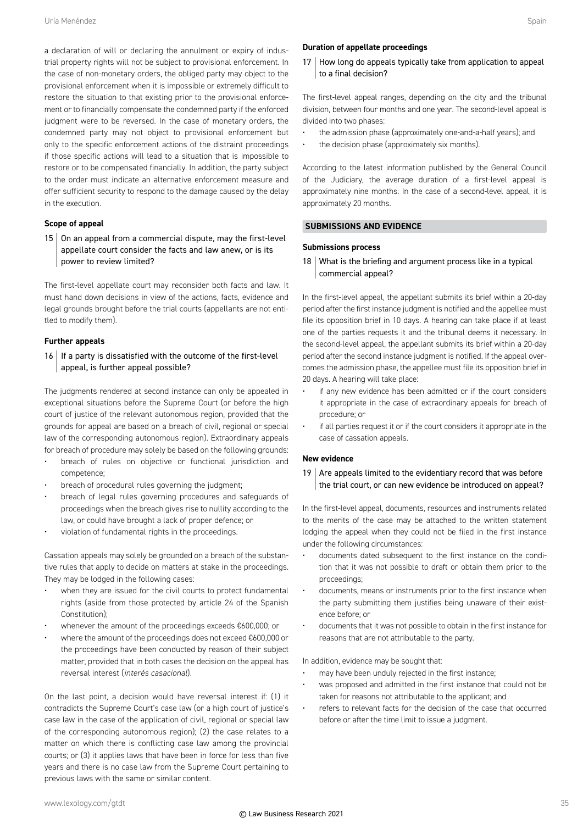a declaration of will or declaring the annulment or expiry of industrial property rights will not be subject to provisional enforcement. In the case of non-monetary orders, the obliged party may object to the provisional enforcement when it is impossible or extremely difficult to restore the situation to that existing prior to the provisional enforcement or to financially compensate the condemned party if the enforced judgment were to be reversed. In the case of monetary orders, the condemned party may not object to provisional enforcement but only to the specific enforcement actions of the distraint proceedings if those specific actions will lead to a situation that is impossible to restore or to be compensated financially. In addition, the party subject to the order must indicate an alternative enforcement measure and offer sufficient security to respond to the damage caused by the delay in the execution.

#### **Scope of appeal**

 $15$  On an appeal from a commercial dispute, may the first-level appellate court consider the facts and law anew, or is its power to review limited?

The first-level appellate court may reconsider both facts and law. It must hand down decisions in view of the actions, facts, evidence and legal grounds brought before the trial courts (appellants are not entitled to modify them).

#### **Further appeals**

 $16$  | If a party is dissatisfied with the outcome of the first-level appeal, is further appeal possible?

The judgments rendered at second instance can only be appealed in exceptional situations before the Supreme Court (or before the high court of justice of the relevant autonomous region, provided that the grounds for appeal are based on a breach of civil, regional or special law of the corresponding autonomous region). Extraordinary appeals for breach of procedure may solely be based on the following grounds:

- breach of rules on objective or functional jurisdiction and competence;
- breach of procedural rules governing the judgment;
- breach of legal rules governing procedures and safeguards of proceedings when the breach gives rise to nullity according to the law, or could have brought a lack of proper defence; or
- violation of fundamental rights in the proceedings.

Cassation appeals may solely be grounded on a breach of the substantive rules that apply to decide on matters at stake in the proceedings. They may be lodged in the following cases:

- when they are issued for the civil courts to protect fundamental rights (aside from those protected by article 24 of the Spanish Constitution);
- whenever the amount of the proceedings exceeds €600,000; or
- where the amount of the proceedings does not exceed €600,000 or the proceedings have been conducted by reason of their subject matter, provided that in both cases the decision on the appeal has reversal interest (*interés casacional*).

On the last point, a decision would have reversal interest if: (1) it contradicts the Supreme Court's case law (or a high court of justice's case law in the case of the application of civil, regional or special law of the corresponding autonomous region); (2) the case relates to a matter on which there is conflicting case law among the provincial courts; or (3) it applies laws that have been in force for less than five years and there is no case law from the Supreme Court pertaining to previous laws with the same or similar content.

#### **Duration of appellate proceedings**

17 How long do appeals typically take from application to appeal to a final decision?

The first-level appeal ranges, depending on the city and the tribunal division, between four months and one year. The second-level appeal is divided into two phases:

- the admission phase (approximately one-and-a-half years); and
- the decision phase (approximately six months).

According to the latest information published by the General Council of the Judiciary, the average duration of a first-level appeal is approximately nine months. In the case of a second-level appeal, it is approximately 20 months.

#### **SUBMISSIONS AND EVIDENCE**

#### **Submissions process**

 $18$  What is the briefing and argument process like in a typical commercial appeal?

In the first-level appeal, the appellant submits its brief within a 20-day period after the first instance judgment is notified and the appellee must file its opposition brief in 10 days. A hearing can take place if at least one of the parties requests it and the tribunal deems it necessary. In the second-level appeal, the appellant submits its brief within a 20-day period after the second instance judgment is notified. If the appeal overcomes the admission phase, the appellee must file its opposition brief in 20 days. A hearing will take place:

- if any new evidence has been admitted or if the court considers it appropriate in the case of extraordinary appeals for breach of procedure; or
- if all parties request it or if the court considers it appropriate in the case of cassation appeals.

#### **New evidence**

19  $\vert$  Are appeals limited to the evidentiary record that was before the trial court, or can new evidence be introduced on appeal?

In the first-level appeal, documents, resources and instruments related to the merits of the case may be attached to the written statement lodging the appeal when they could not be filed in the first instance under the following circumstances:

- documents dated subsequent to the first instance on the condition that it was not possible to draft or obtain them prior to the proceedings;
- documents, means or instruments prior to the first instance when the party submitting them justifies being unaware of their existence before; or
- documents that it was not possible to obtain in the first instance for reasons that are not attributable to the party.

In addition, evidence may be sought that:

- may have been unduly rejected in the first instance;
- was proposed and admitted in the first instance that could not be taken for reasons not attributable to the applicant; and
- refers to relevant facts for the decision of the case that occurred before or after the time limit to issue a judgment.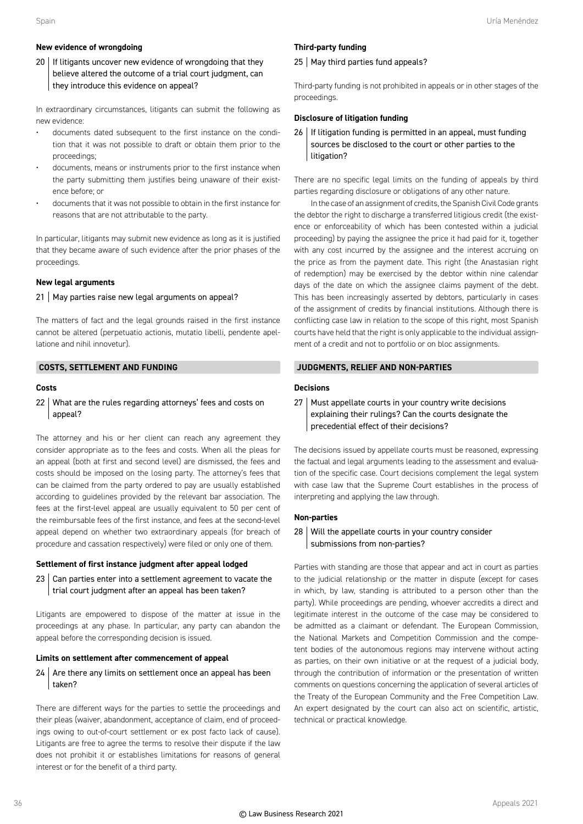#### **New evidence of wrongdoing**

 $20$  If litigants uncover new evidence of wrongdoing that they believe altered the outcome of a trial court judgment, can they introduce this evidence on appeal?

In extraordinary circumstances, litigants can submit the following as new evidence:

- documents dated subsequent to the first instance on the condition that it was not possible to draft or obtain them prior to the proceedings;
- documents, means or instruments prior to the first instance when the party submitting them justifies being unaware of their existence before; or
- documents that it was not possible to obtain in the first instance for reasons that are not attributable to the party.

In particular, litigants may submit new evidence as long as it is justified that they became aware of such evidence after the prior phases of the proceedings.

#### **New legal arguments**

#### $21$  May parties raise new legal arguments on appeal?

The matters of fact and the legal grounds raised in the first instance cannot be altered (perpetuatio actionis, mutatio libelli, pendente apellatione and nihil innovetur).

#### **COSTS, SETTLEMENT AND FUNDING**

#### **Costs**

22 What are the rules regarding attorneys' fees and costs on appeal?

The attorney and his or her client can reach any agreement they consider appropriate as to the fees and costs. When all the pleas for an appeal (both at first and second level) are dismissed, the fees and costs should be imposed on the losing party. The attorney's fees that can be claimed from the party ordered to pay are usually established according to guidelines provided by the relevant bar association. The fees at the first-level appeal are usually equivalent to 50 per cent of the reimbursable fees of the first instance, and fees at the second-level appeal depend on whether two extraordinary appeals (for breach of procedure and cassation respectively) were filed or only one of them.

#### **Settlement of first instance judgment after appeal lodged**

23 Can parties enter into a settlement agreement to vacate the trial court judgment after an appeal has been taken?

Litigants are empowered to dispose of the matter at issue in the proceedings at any phase. In particular, any party can abandon the appeal before the corresponding decision is issued.

#### **Limits on settlement after commencement of appeal**

 $24$  Are there any limits on settlement once an appeal has been taken?

There are different ways for the parties to settle the proceedings and their pleas (waiver, abandonment, acceptance of claim, end of proceedings owing to out-of-court settlement or ex post facto lack of cause). Litigants are free to agree the terms to resolve their dispute if the law does not prohibit it or establishes limitations for reasons of general interest or for the benefit of a third party.

#### **Third-party funding**

#### 25 | May third parties fund appeals?

Third-party funding is not prohibited in appeals or in other stages of the proceedings.

#### **Disclosure of litigation funding**

26 | If litigation funding is permitted in an appeal, must funding sources be disclosed to the court or other parties to the litigation?

There are no specific legal limits on the funding of appeals by third parties regarding disclosure or obligations of any other nature.

In the case of an assignment of credits, the Spanish Civil Code grants the debtor the right to discharge a transferred litigious credit (the existence or enforceability of which has been contested within a judicial proceeding) by paying the assignee the price it had paid for it, together with any cost incurred by the assignee and the interest accruing on the price as from the payment date. This right (the Anastasian right of redemption) may be exercised by the debtor within nine calendar days of the date on which the assignee claims payment of the debt. This has been increasingly asserted by debtors, particularly in cases of the assignment of credits by financial institutions. Although there is conflicting case law in relation to the scope of this right, most Spanish courts have held that the right is only applicable to the individual assignment of a credit and not to portfolio or on bloc assignments.

#### **JUDGMENTS, RELIEF AND NON-PARTIES**

#### **Decisions**

 $27$  Must appellate courts in your country write decisions explaining their rulings? Can the courts designate the precedential effect of their decisions?

The decisions issued by appellate courts must be reasoned, expressing the factual and legal arguments leading to the assessment and evaluation of the specific case. Court decisions complement the legal system with case law that the Supreme Court establishes in the process of interpreting and applying the law through.

#### **Non-parties**

#### $28$  Will the appellate courts in your country consider submissions from non-parties?

Parties with standing are those that appear and act in court as parties to the judicial relationship or the matter in dispute (except for cases in which, by law, standing is attributed to a person other than the party). While proceedings are pending, whoever accredits a direct and legitimate interest in the outcome of the case may be considered to be admitted as a claimant or defendant. The European Commission, the National Markets and Competition Commission and the competent bodies of the autonomous regions may intervene without acting as parties, on their own initiative or at the request of a judicial body, through the contribution of information or the presentation of written comments on questions concerning the application of several articles of the Treaty of the European Community and the Free Competition Law. An expert designated by the court can also act on scientific, artistic, technical or practical knowledge.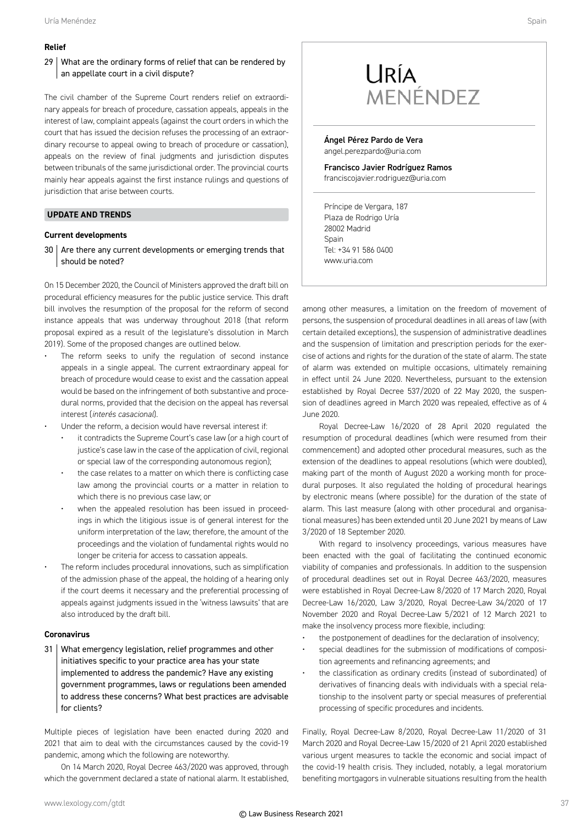#### **Relief**

#### 29 What are the ordinary forms of relief that can be rendered by an appellate court in a civil dispute?

The civil chamber of the Supreme Court renders relief on extraordinary appeals for breach of procedure, cassation appeals, appeals in the interest of law, complaint appeals (against the court orders in which the court that has issued the decision refuses the processing of an extraordinary recourse to appeal owing to breach of procedure or cassation), appeals on the review of final judgments and jurisdiction disputes between tribunals of the same jurisdictional order. The provincial courts mainly hear appeals against the first instance rulings and questions of jurisdiction that arise between courts.

#### **UPDATE AND TRENDS**

#### **Current developments**

 $30$  Are there any current developments or emerging trends that should be noted?

On 15 December 2020, the Council of Ministers approved the draft bill on procedural efficiency measures for the public justice service. This draft bill involves the resumption of the proposal for the reform of second instance appeals that was underway throughout 2018 (that reform proposal expired as a result of the legislature's dissolution in March 2019). Some of the proposed changes are outlined below.

- The reform seeks to unify the regulation of second instance appeals in a single appeal. The current extraordinary appeal for breach of procedure would cease to exist and the cassation appeal would be based on the infringement of both substantive and procedural norms, provided that the decision on the appeal has reversal interest (*interés casacional*).
- Under the reform, a decision would have reversal interest if:
	- it contradicts the Supreme Court's case law (or a high court of justice's case law in the case of the application of civil, regional or special law of the corresponding autonomous region);
	- the case relates to a matter on which there is conflicting case law among the provincial courts or a matter in relation to which there is no previous case law; or
	- when the appealed resolution has been issued in proceedings in which the litigious issue is of general interest for the uniform interpretation of the law; therefore, the amount of the proceedings and the violation of fundamental rights would no longer be criteria for access to cassation appeals.
- The reform includes procedural innovations, such as simplification of the admission phase of the appeal, the holding of a hearing only if the court deems it necessary and the preferential processing of appeals against judgments issued in the 'witness lawsuits' that are also introduced by the draft bill.

#### **Coronavirus**

31 What emergency legislation, relief programmes and other initiatives specific to your practice area has your state implemented to address the pandemic? Have any existing government programmes, laws or regulations been amended to address these concerns? What best practices are advisable for clients?

Multiple pieces of legislation have been enacted during 2020 and 2021 that aim to deal with the circumstances caused by the covid-19 pandemic, among which the following are noteworthy.

On 14 March 2020, Royal Decree 463/2020 was approved, through which the government declared a state of national alarm. It established,

Ángel Pérez Pardo de Vera angel.perezpardo@uria.com

Francisco Javier Rodríguez Ramos franciscojavier.rodriguez@uria.com

Príncipe de Vergara, 187 Plaza de Rodrigo Uría 28002 Madrid Spain Tel: +34 91 586 0400 www.uria.com

among other measures, a limitation on the freedom of movement of persons, the suspension of procedural deadlines in all areas of law (with certain detailed exceptions), the suspension of administrative deadlines and the suspension of limitation and prescription periods for the exercise of actions and rights for the duration of the state of alarm. The state of alarm was extended on multiple occasions, ultimately remaining in effect until 24 June 2020. Nevertheless, pursuant to the extension established by Royal Decree 537/2020 of 22 May 2020, the suspension of deadlines agreed in March 2020 was repealed, effective as of 4 June 2020.

Royal Decree-Law 16/2020 of 28 April 2020 regulated the resumption of procedural deadlines (which were resumed from their commencement) and adopted other procedural measures, such as the extension of the deadlines to appeal resolutions (which were doubled), making part of the month of August 2020 a working month for procedural purposes. It also regulated the holding of procedural hearings by electronic means (where possible) for the duration of the state of alarm. This last measure (along with other procedural and organisational measures) has been extended until 20 June 2021 by means of Law 3/2020 of 18 September 2020.

With regard to insolvency proceedings, various measures have been enacted with the goal of facilitating the continued economic viability of companies and professionals. In addition to the suspension of procedural deadlines set out in Royal Decree 463/2020, measures were established in Royal Decree-Law 8/2020 of 17 March 2020, Royal Decree-Law 16/2020, Law 3/2020, Royal Decree-Law 34/2020 of 17 November 2020 and Royal Decree-Law 5/2021 of 12 March 2021 to make the insolvency process more flexible, including:

- the postponement of deadlines for the declaration of insolvency;
- special deadlines for the submission of modifications of composition agreements and refinancing agreements; and
- the classification as ordinary credits (instead of subordinated) of derivatives of financing deals with individuals with a special relationship to the insolvent party or special measures of preferential processing of specific procedures and incidents.

Finally, Royal Decree-Law 8/2020, Royal Decree-Law 11/2020 of 31 March 2020 and Royal Decree-Law 15/2020 of 21 April 2020 established various urgent measures to tackle the economic and social impact of the covid-19 health crisis. They included, notably, a legal moratorium benefiting mortgagors in vulnerable situations resulting from the health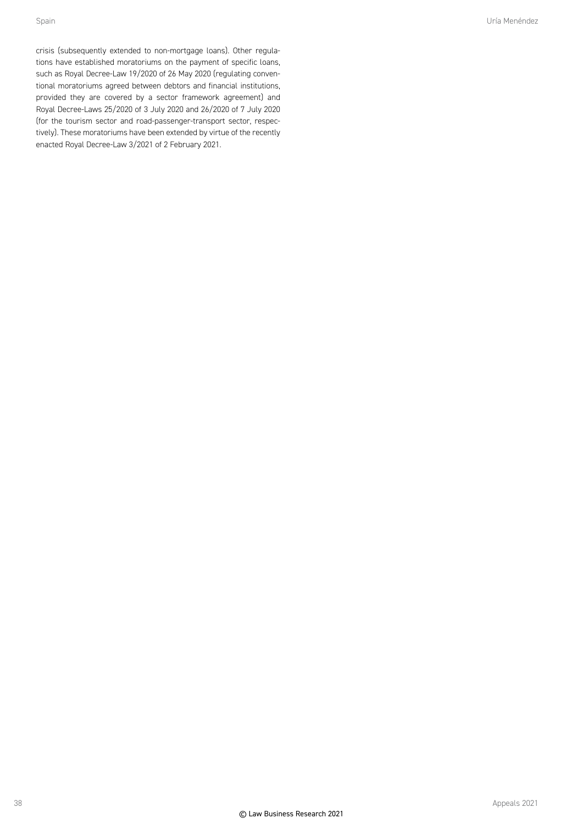crisis (subsequently extended to non-mortgage loans). Other regulations have established moratoriums on the payment of specific loans, such as Royal Decree-Law 19/2020 of 26 May 2020 (regulating conventional moratoriums agreed between debtors and financial institutions, provided they are covered by a sector framework agreement) and Royal Decree-Laws 25/2020 of 3 July 2020 and 26/2020 of 7 July 2020 (for the tourism sector and road-passenger-transport sector, respectively). These moratoriums have been extended by virtue of the recently enacted Royal Decree-Law 3/2021 of 2 February 2021.